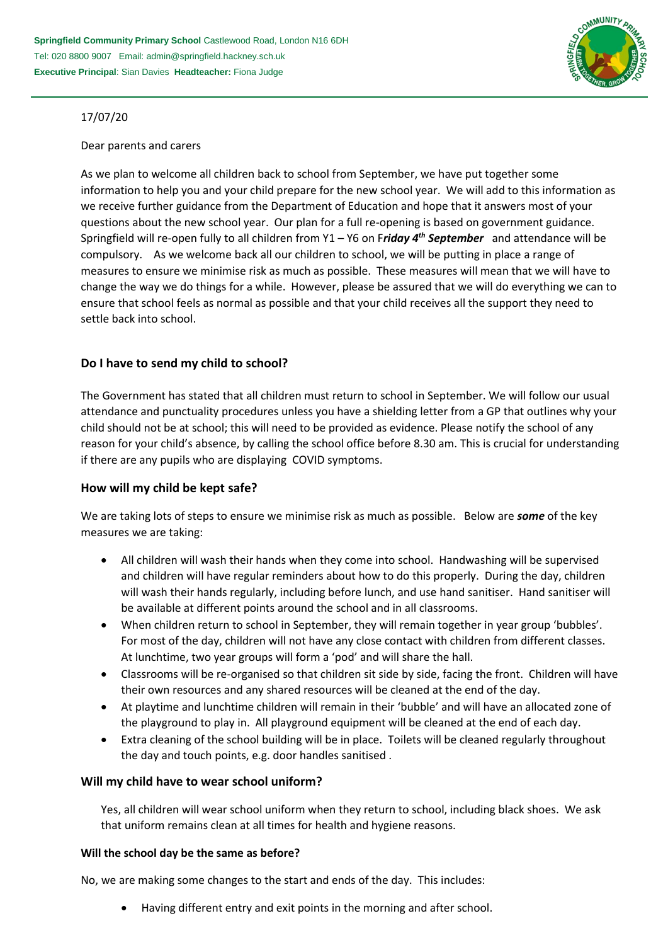

# 17/07/20

### Dear parents and carers

As we plan to welcome all children back to school from September, we have put together some information to help you and your child prepare for the new school year. We will add to this information as we receive further guidance from the Department of Education and hope that it answers most of your questions about the new school year. Our plan for a full re-opening is based on government guidance. Springfield will re-open fully to all children from Y1 – Y6 on F*riday 4th September* and attendance will be compulsory. As we welcome back all our children to school, we will be putting in place a range of measures to ensure we minimise risk as much as possible. These measures will mean that we will have to change the way we do things for a while. However, please be assured that we will do everything we can to ensure that school feels as normal as possible and that your child receives all the support they need to settle back into school.

# **Do I have to send my child to school?**

The Government has stated that all children must return to school in September. We will follow our usual attendance and punctuality procedures unless you have a shielding letter from a GP that outlines why your child should not be at school; this will need to be provided as evidence. Please notify the school of any reason for your child's absence, by calling the school office before 8.30 am. This is crucial for understanding if there are any pupils who are displaying COVID symptoms.

# **How will my child be kept safe?**

We are taking lots of steps to ensure we minimise risk as much as possible. Below are *some* of the key measures we are taking:

- All children will wash their hands when they come into school. Handwashing will be supervised and children will have regular reminders about how to do this properly. During the day, children will wash their hands regularly, including before lunch, and use hand sanitiser. Hand sanitiser will be available at different points around the school and in all classrooms.
- When children return to school in September, they will remain together in year group 'bubbles'. For most of the day, children will not have any close contact with children from different classes. At lunchtime, two year groups will form a 'pod' and will share the hall.
- Classrooms will be re-organised so that children sit side by side, facing the front. Children will have their own resources and any shared resources will be cleaned at the end of the day.
- At playtime and lunchtime children will remain in their 'bubble' and will have an allocated zone of the playground to play in. All playground equipment will be cleaned at the end of each day.
- Extra cleaning of the school building will be in place. Toilets will be cleaned regularly throughout the day and touch points, e.g. door handles sanitised .

# **Will my child have to wear school uniform?**

Yes, all children will wear school uniform when they return to school, including black shoes. We ask that uniform remains clean at all times for health and hygiene reasons.

#### **Will the school day be the same as before?**

No, we are making some changes to the start and ends of the day. This includes:

Having different entry and exit points in the morning and after school.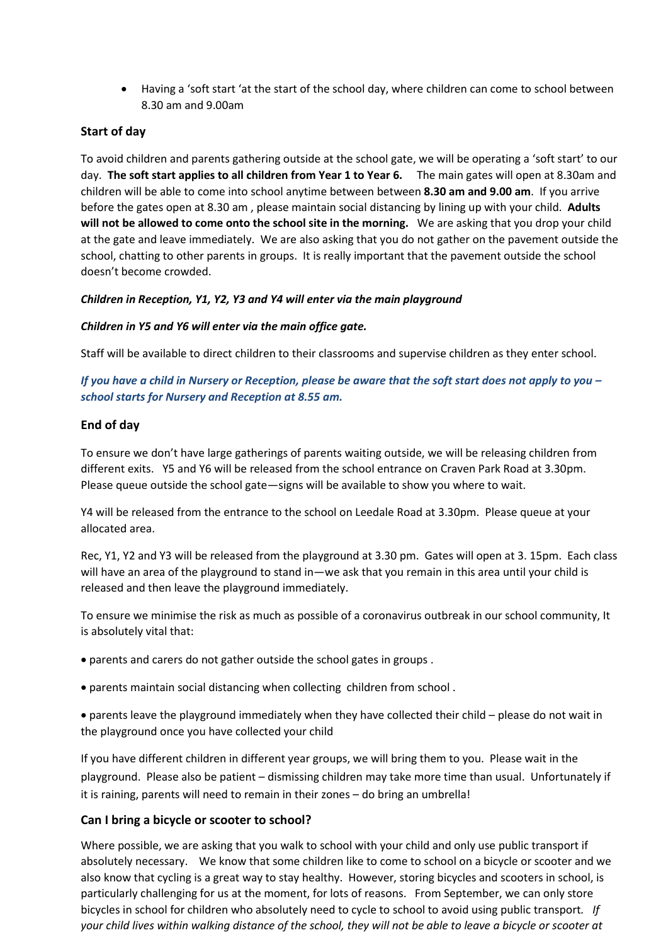Having a 'soft start 'at the start of the school day, where children can come to school between 8.30 am and 9.00am

# **Start of day**

To avoid children and parents gathering outside at the school gate, we will be operating a 'soft start' to our day. **The soft start applies to all children from Year 1 to Year 6***.* The main gates will open at 8.30am and children will be able to come into school anytime between between **8.30 am and 9.00 am**. If you arrive before the gates open at 8.30 am , please maintain social distancing by lining up with your child. **Adults will not be allowed to come onto the school site in the morning.** We are asking that you drop your child at the gate and leave immediately. We are also asking that you do not gather on the pavement outside the school, chatting to other parents in groups. It is really important that the pavement outside the school doesn't become crowded.

### *Children in Reception, Y1, Y2, Y3 and Y4 will enter via the main playground*

#### *Children in Y5 and Y6 will enter via the main office gate.*

Staff will be available to direct children to their classrooms and supervise children as they enter school.

*If you have a child in Nursery or Reception, please be aware that the soft start does not apply to you – school starts for Nursery and Reception at 8.55 am.*

### **End of day**

To ensure we don't have large gatherings of parents waiting outside, we will be releasing children from different exits. Y5 and Y6 will be released from the school entrance on Craven Park Road at 3.30pm. Please queue outside the school gate—signs will be available to show you where to wait.

Y4 will be released from the entrance to the school on Leedale Road at 3.30pm. Please queue at your allocated area.

Rec, Y1, Y2 and Y3 will be released from the playground at 3.30 pm. Gates will open at 3. 15pm. Each class will have an area of the playground to stand in—we ask that you remain in this area until your child is released and then leave the playground immediately.

To ensure we minimise the risk as much as possible of a coronavirus outbreak in our school community, It is absolutely vital that:

- parents and carers do not gather outside the school gates in groups .
- parents maintain social distancing when collecting children from school .
- parents leave the playground immediately when they have collected their child please do not wait in the playground once you have collected your child

If you have different children in different year groups, we will bring them to you. Please wait in the playground. Please also be patient – dismissing children may take more time than usual. Unfortunately if it is raining, parents will need to remain in their zones – do bring an umbrella!

# **Can I bring a bicycle or scooter to school?**

Where possible, we are asking that you walk to school with your child and only use public transport if absolutely necessary. We know that some children like to come to school on a bicycle or scooter and we also know that cycling is a great way to stay healthy. However, storing bicycles and scooters in school, is particularly challenging for us at the moment, for lots of reasons. From September, we can only store bicycles in school for children who absolutely need to cycle to school to avoid using public transport*. If your child lives within walking distance of the school, they will not be able to leave a bicycle or scooter at*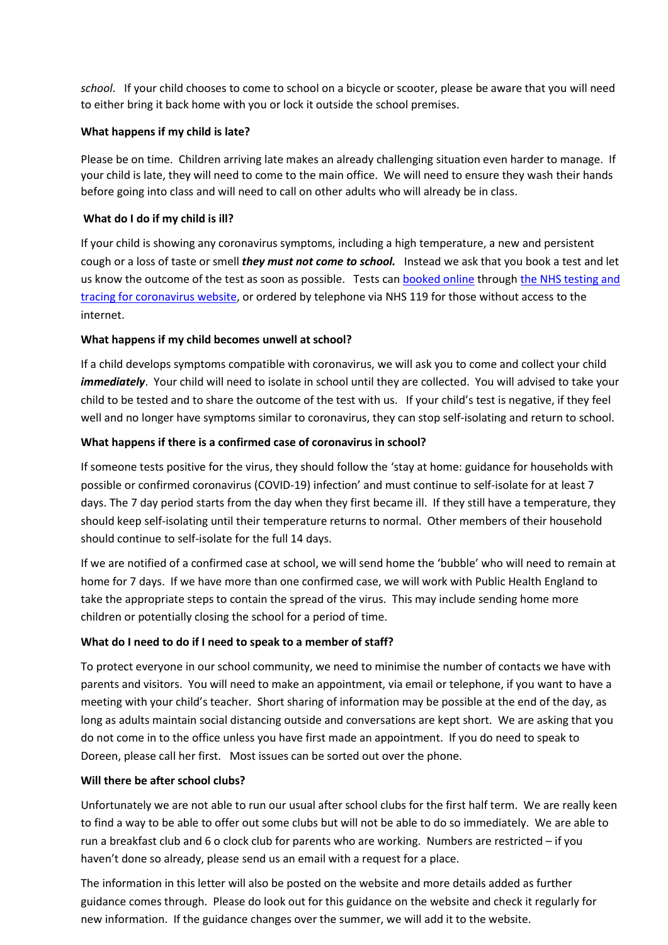*school*. If your child chooses to come to school on a bicycle or scooter, please be aware that you will need to either bring it back home with you or lock it outside the school premises.

### **What happens if my child is late?**

Please be on time. Children arriving late makes an already challenging situation even harder to manage. If your child is late, they will need to come to the main office. We will need to ensure they wash their hands before going into class and will need to call on other adults who will already be in class.

### **What do I do if my child is ill?**

If your child is showing any coronavirus symptoms, including a high temperature, a new and persistent cough or a loss of taste or smell *they must not come to school.* Instead we ask that you book a test and let us know the outcome of the test as soon as possible. Tests can [booked online](https://www.gov.uk/guidance/coronavirus-covid-19-getting-tested) throug[h the NHS testing and](https://www.nhs.uk/conditions/coronavirus-covid-19/testing-and-tracing/)  [tracing for coronavirus website,](https://www.nhs.uk/conditions/coronavirus-covid-19/testing-and-tracing/) or ordered by telephone via NHS 119 for those without access to the internet.

### **What happens if my child becomes unwell at school?**

If a child develops symptoms compatible with coronavirus, we will ask you to come and collect your child *immediately*. Your child will need to isolate in school until they are collected. You will advised to take your child to be tested and to share the outcome of the test with us. If your child's test is negative, if they feel well and no longer have symptoms similar to coronavirus, they can stop self-isolating and return to school.

### **What happens if there is a confirmed case of coronavirus in school?**

If someone tests positive for the virus, they should follow the 'stay at home: guidance for households with possible or confirmed coronavirus (COVID-19) infection' and must continue to self-isolate for at least 7 days. The 7 day period starts from the day when they first became ill. If they still have a temperature, they should keep self-isolating until their temperature returns to normal. Other members of their household should continue to self-isolate for the full 14 days.

If we are notified of a confirmed case at school, we will send home the 'bubble' who will need to remain at home for 7 days. If we have more than one confirmed case, we will work with Public Health England to take the appropriate steps to contain the spread of the virus. This may include sending home more children or potentially closing the school for a period of time.

#### **What do I need to do if I need to speak to a member of staff?**

To protect everyone in our school community, we need to minimise the number of contacts we have with parents and visitors. You will need to make an appointment, via email or telephone, if you want to have a meeting with your child's teacher. Short sharing of information may be possible at the end of the day, as long as adults maintain social distancing outside and conversations are kept short. We are asking that you do not come in to the office unless you have first made an appointment. If you do need to speak to Doreen, please call her first. Most issues can be sorted out over the phone.

#### **Will there be after school clubs?**

Unfortunately we are not able to run our usual after school clubs for the first half term. We are really keen to find a way to be able to offer out some clubs but will not be able to do so immediately. We are able to run a breakfast club and 6 o clock club for parents who are working. Numbers are restricted – if you haven't done so already, please send us an email with a request for a place.

The information in this letter will also be posted on the website and more details added as further guidance comes through. Please do look out for this guidance on the website and check it regularly for new information. If the guidance changes over the summer, we will add it to the website.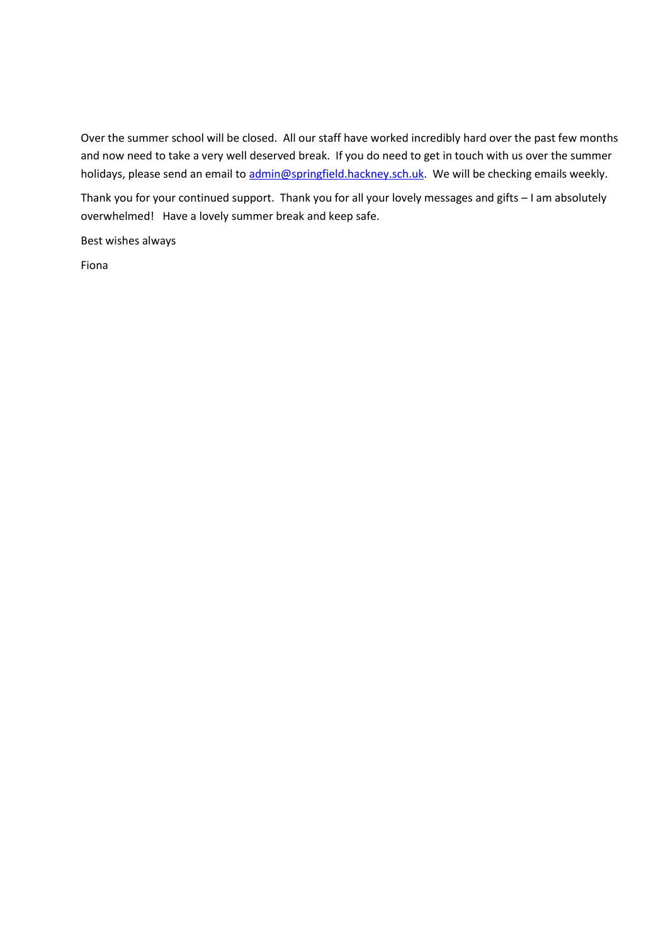Over the summer school will be closed. All our staff have worked incredibly hard over the past few months and now need to take a very well deserved break. If you do need to get in touch with us over the summer holidays, please send an email to [admin@springfield.hackney.sch.uk.](mailto:admin@springfield.hackney.sch.uk) We will be checking emails weekly.

Thank you for your continued support. Thank you for all your lovely messages and gifts – I am absolutely overwhelmed! Have a lovely summer break and keep safe.

Best wishes always

Fiona